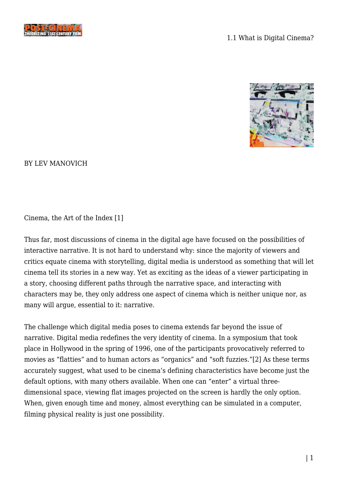

## BY LEV MANOVICH

<span id="page-0-0"></span>Cinema, the Art of the Index [\[1\]](#page-23-0)

Thus far, most discussions of cinema in the digital age have focused on the possibilities of interactive narrative. It is not hard to understand why: since the majority of viewers and critics equate cinema with storytelling, digital media is understood as something that will let cinema tell its stories in a new way. Yet as exciting as the ideas of a viewer participating in a story, choosing different paths through the narrative space, and interacting with characters may be, they only address one aspect of cinema which is neither unique nor, as many will argue, essential to it: narrative.

<span id="page-0-1"></span>The challenge which digital media poses to cinema extends far beyond the issue of narrative. Digital media redefines the very identity of cinema. In a symposium that took place in Hollywood in the spring of 1996, one of the participants provocatively referred to movies as "flatties" and to human actors as "organics" and "soft fuzzies."[\[2\]](#page-23-1) As these terms accurately suggest, what used to be cinema's defining characteristics have become just the default options, with many others available. When one can "enter" a virtual threedimensional space, viewing flat images projected on the screen is hardly the only option. When, given enough time and money, almost everything can be simulated in a computer, filming physical reality is just one possibility.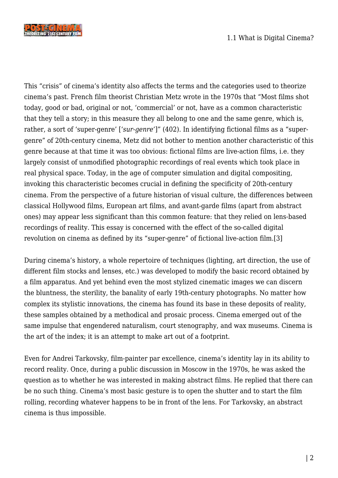

This "crisis" of cinema's identity also affects the terms and the categories used to theorize cinema's past. French film theorist Christian Metz wrote in the 1970s that "Most films shot today, good or bad, original or not, 'commercial' or not, have as a common characteristic that they tell a story; in this measure they all belong to one and the same genre, which is, rather, a sort of 'super-genre' ['*sur-genre*']" (402). In identifying fictional films as a "supergenre" of 20th-century cinema, Metz did not bother to mention another characteristic of this genre because at that time it was too obvious: fictional films are live-action films, i.e. they largely consist of unmodified photographic recordings of real events which took place in real physical space. Today, in the age of computer simulation and digital compositing, invoking this characteristic becomes crucial in defining the specificity of 20th-century cinema. From the perspective of a future historian of visual culture, the differences between classical Hollywood films, European art films, and avant-garde films (apart from abstract ones) may appear less significant than this common feature: that they relied on lens-based recordings of reality. This essay is concerned with the effect of the so-called digital revolution on cinema as defined by its "super-genre" of fictional live-action film[.\[3\]](#page-23-2)

<span id="page-1-0"></span>During cinema's history, a whole repertoire of techniques (lighting, art direction, the use of different film stocks and lenses, etc.) was developed to modify the basic record obtained by a film apparatus. And yet behind even the most stylized cinematic images we can discern the bluntness, the sterility, the banality of early 19th-century photographs. No matter how complex its stylistic innovations, the cinema has found its base in these deposits of reality, these samples obtained by a methodical and prosaic process. Cinema emerged out of the same impulse that engendered naturalism, court stenography, and wax museums. Cinema is the art of the index; it is an attempt to make art out of a footprint.

Even for Andrei Tarkovsky, film-painter par excellence, cinema's identity lay in its ability to record reality. Once, during a public discussion in Moscow in the 1970s, he was asked the question as to whether he was interested in making abstract films. He replied that there can be no such thing. Cinema's most basic gesture is to open the shutter and to start the film rolling, recording whatever happens to be in front of the lens. For Tarkovsky, an abstract cinema is thus impossible.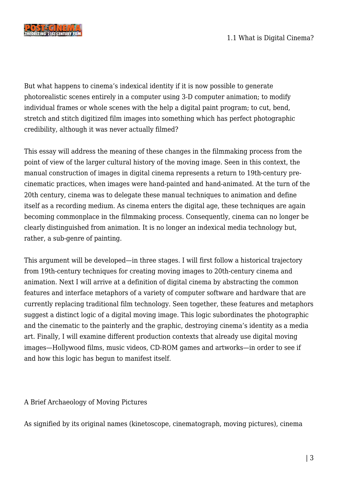

But what happens to cinema's indexical identity if it is now possible to generate photorealistic scenes entirely in a computer using 3-D computer animation; to modify individual frames or whole scenes with the help a digital paint program; to cut, bend, stretch and stitch digitized film images into something which has perfect photographic credibility, although it was never actually filmed?

This essay will address the meaning of these changes in the filmmaking process from the point of view of the larger cultural history of the moving image. Seen in this context, the manual construction of images in digital cinema represents a return to 19th-century precinematic practices, when images were hand-painted and hand-animated. At the turn of the 20th century, cinema was to delegate these manual techniques to animation and define itself as a recording medium. As cinema enters the digital age, these techniques are again becoming commonplace in the filmmaking process. Consequently, cinema can no longer be clearly distinguished from animation. It is no longer an indexical media technology but, rather, a sub-genre of painting.

This argument will be developed—in three stages. I will first follow a historical trajectory from 19th-century techniques for creating moving images to 20th-century cinema and animation. Next I will arrive at a definition of digital cinema by abstracting the common features and interface metaphors of a variety of computer software and hardware that are currently replacing traditional film technology. Seen together, these features and metaphors suggest a distinct logic of a digital moving image. This logic subordinates the photographic and the cinematic to the painterly and the graphic, destroying cinema's identity as a media art. Finally, I will examine different production contexts that already use digital moving images—Hollywood films, music videos, CD-ROM games and artworks—in order to see if and how this logic has begun to manifest itself.

A Brief Archaeology of Moving Pictures

As signified by its original names (kinetoscope, cinematograph, moving pictures), cinema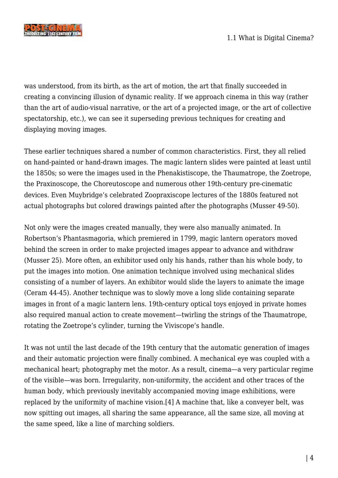



was understood, from its birth, as the art of motion, the art that finally succeeded in creating a convincing illusion of dynamic reality. If we approach cinema in this way (rather than the art of audio-visual narrative, or the art of a projected image, or the art of collective spectatorship, etc.), we can see it superseding previous techniques for creating and displaying moving images.

These earlier techniques shared a number of common characteristics. First, they all relied on hand-painted or hand-drawn images. The magic lantern slides were painted at least until the 1850s; so were the images used in the Phenakistiscope, the Thaumatrope, the Zoetrope, the Praxinoscope, the Choreutoscope and numerous other 19th-century pre-cinematic devices. Even Muybridge's celebrated Zoopraxiscope lectures of the 1880s featured not actual photographs but colored drawings painted after the photographs (Musser 49-50).

Not only were the images created manually, they were also manually animated. In Robertson's Phantasmagoria, which premiered in 1799, magic lantern operators moved behind the screen in order to make projected images appear to advance and withdraw (Musser 25). More often, an exhibitor used only his hands, rather than his whole body, to put the images into motion. One animation technique involved using mechanical slides consisting of a number of layers. An exhibitor would slide the layers to animate the image (Ceram 44-45). Another technique was to slowly move a long slide containing separate images in front of a magic lantern lens. 19th-century optical toys enjoyed in private homes also required manual action to create movement—twirling the strings of the Thaumatrope, rotating the Zoetrope's cylinder, turning the Viviscope's handle.

<span id="page-3-0"></span>It was not until the last decade of the 19th century that the automatic generation of images and their automatic projection were finally combined. A mechanical eye was coupled with a mechanical heart; photography met the motor. As a result, cinema—a very particular regime of the visible—was born. Irregularity, non-uniformity, the accident and other traces of the human body, which previously inevitably accompanied moving image exhibitions, were replaced by the uniformity of machine vision[.\[4\]](#page-23-3) A machine that, like a conveyer belt, was now spitting out images, all sharing the same appearance, all the same size, all moving at the same speed, like a line of marching soldiers.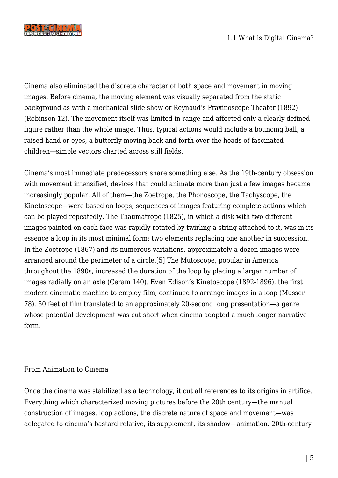

Cinema also eliminated the discrete character of both space and movement in moving images. Before cinema, the moving element was visually separated from the static background as with a mechanical slide show or Reynaud's Praxinoscope Theater (1892) (Robinson 12). The movement itself was limited in range and affected only a clearly defined figure rather than the whole image. Thus, typical actions would include a bouncing ball, a raised hand or eyes, a butterfly moving back and forth over the heads of fascinated children—simple vectors charted across still fields.

<span id="page-4-0"></span>Cinema's most immediate predecessors share something else. As the 19th-century obsession with movement intensified, devices that could animate more than just a few images became increasingly popular. All of them—the Zoetrope, the Phonoscope, the Tachyscope, the Kinetoscope—were based on loops, sequences of images featuring complete actions which can be played repeatedly. The Thaumatrope (1825), in which a disk with two different images painted on each face was rapidly rotated by twirling a string attached to it, was in its essence a loop in its most minimal form: two elements replacing one another in succession. In the Zoetrope (1867) and its numerous variations, approximately a dozen images were arranged around the perimeter of a circle[.\[5\]](#page-24-0) The Mutoscope, popular in America throughout the 1890s, increased the duration of the loop by placing a larger number of images radially on an axle (Ceram 140). Even Edison's Kinetoscope (1892-1896), the first modern cinematic machine to employ film, continued to arrange images in a loop (Musser 78). 50 feet of film translated to an approximately 20-second long presentation—a genre whose potential development was cut short when cinema adopted a much longer narrative form.

## From Animation to Cinema

Once the cinema was stabilized as a technology, it cut all references to its origins in artifice. Everything which characterized moving pictures before the 20th century—the manual construction of images, loop actions, the discrete nature of space and movement—was delegated to cinema's bastard relative, its supplement, its shadow—animation. 20th-century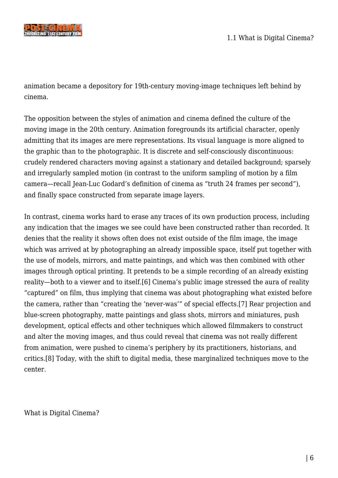

animation became a depository for 19th-century moving-image techniques left behind by cinema.

The opposition between the styles of animation and cinema defined the culture of the moving image in the 20th century. Animation foregrounds its artificial character, openly admitting that its images are mere representations. Its visual language is more aligned to the graphic than to the photographic. It is discrete and self-consciously discontinuous: crudely rendered characters moving against a stationary and detailed background; sparsely and irregularly sampled motion (in contrast to the uniform sampling of motion by a film camera—recall Jean-Luc Godard's definition of cinema as "truth 24 frames per second"), and finally space constructed from separate image layers.

<span id="page-5-1"></span><span id="page-5-0"></span>In contrast, cinema works hard to erase any traces of its own production process, including any indication that the images we see could have been constructed rather than recorded. It denies that the reality it shows often does not exist outside of the film image, the image which was arrived at by photographing an already impossible space, itself put together with the use of models, mirrors, and matte paintings, and which was then combined with other images through optical printing. It pretends to be a simple recording of an already existing reality—both to a viewer and to itself.[\[6\]](#page-24-1) Cinema's public image stressed the aura of reality "captured" on film, thus implying that cinema was about photographing what existed before the camera, rather than "creating the 'never-was'" of special effects[.\[7\]](#page-24-2) Rear projection and blue-screen photography, matte paintings and glass shots, mirrors and miniatures, push development, optical effects and other techniques which allowed filmmakers to construct and alter the moving images, and thus could reveal that cinema was not really different from animation, were pushed to cinema's periphery by its practitioners, historians, and critics.[\[8\]](#page-24-3) Today, with the shift to digital media, these marginalized techniques move to the center.

<span id="page-5-2"></span>What is Digital Cinema?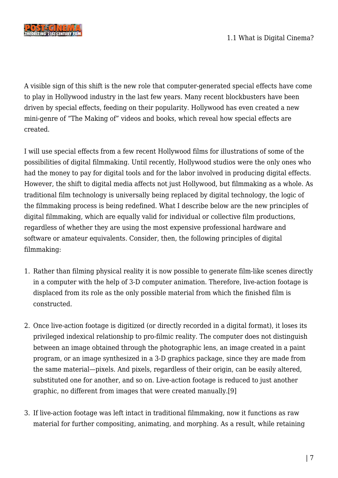



A visible sign of this shift is the new role that computer-generated special effects have come to play in Hollywood industry in the last few years. Many recent blockbusters have been driven by special effects, feeding on their popularity. Hollywood has even created a new mini-genre of "The Making of" videos and books, which reveal how special effects are created.

I will use special effects from a few recent Hollywood films for illustrations of some of the possibilities of digital filmmaking. Until recently, Hollywood studios were the only ones who had the money to pay for digital tools and for the labor involved in producing digital effects. However, the shift to digital media affects not just Hollywood, but filmmaking as a whole. As traditional film technology is universally being replaced by digital technology, the logic of the filmmaking process is being redefined. What I describe below are the new principles of digital filmmaking, which are equally valid for individual or collective film productions, regardless of whether they are using the most expensive professional hardware and software or amateur equivalents. Consider, then, the following principles of digital filmmaking:

- 1. Rather than filming physical reality it is now possible to generate film-like scenes directly in a computer with the help of 3-D computer animation. Therefore, live-action footage is displaced from its role as the only possible material from which the finished film is constructed.
- 2. Once live-action footage is digitized (or directly recorded in a digital format), it loses its privileged indexical relationship to pro-filmic reality. The computer does not distinguish between an image obtained through the photographic lens, an image created in a paint program, or an image synthesized in a 3-D graphics package, since they are made from the same material—pixels. And pixels, regardless of their origin, can be easily altered, substituted one for another, and so on. Live-action footage is reduced to just another graphic, no different from images that were created manually.[\[9\]](#page-25-0)
- <span id="page-6-0"></span>3. If live-action footage was left intact in traditional filmmaking, now it functions as raw material for further compositing, animating, and morphing. As a result, while retaining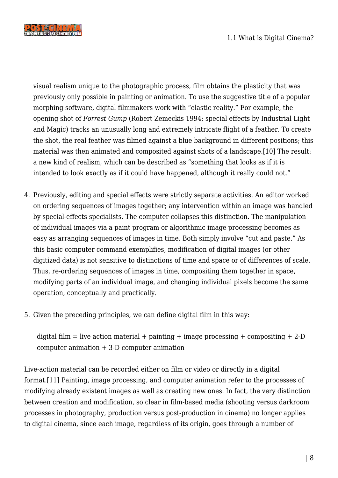

visual realism unique to the photographic process, film obtains the plasticity that was previously only possible in painting or animation. To use the suggestive title of a popular morphing software, digital filmmakers work with "elastic reality." For example, the opening shot of *Forrest Gump* (Robert Zemeckis 1994; special effects by Industrial Light and Magic) tracks an unusually long and extremely intricate flight of a feather. To create the shot, the real feather was filmed against a blue background in different positions; this material was then animated and composited against shots of a landscape[.\[10\]](#page-25-1) The result: a new kind of realism, which can be described as "something that looks as if it is intended to look exactly as if it could have happened, although it really could not."

- <span id="page-7-0"></span>4. Previously, editing and special effects were strictly separate activities. An editor worked on ordering sequences of images together; any intervention within an image was handled by special-effects specialists. The computer collapses this distinction. The manipulation of individual images via a paint program or algorithmic image processing becomes as easy as arranging sequences of images in time. Both simply involve "cut and paste." As this basic computer command exemplifies, modification of digital images (or other digitized data) is not sensitive to distinctions of time and space or of differences of scale. Thus, re-ordering sequences of images in time, compositing them together in space, modifying parts of an individual image, and changing individual pixels become the same operation, conceptually and practically.
- 5. Given the preceding principles, we can define digital film in this way:

digital film  $=$  live action material  $+$  painting  $+$  image processing  $+$  compositing  $+$  2-D computer animation + 3-D computer animation

<span id="page-7-2"></span><span id="page-7-1"></span>Live-action material can be recorded either on film or video or directly in a digital format.[\[11\]](#page-25-2) Painting, image processing, and computer animation refer to the processes of modifying already existent images as well as creating new ones. In fact, the very distinction between creation and modification, so clear in film-based media (shooting versus darkroom processes in photography, production versus post-production in cinema) no longer applies to digital cinema, since each image, regardless of its origin, goes through a number of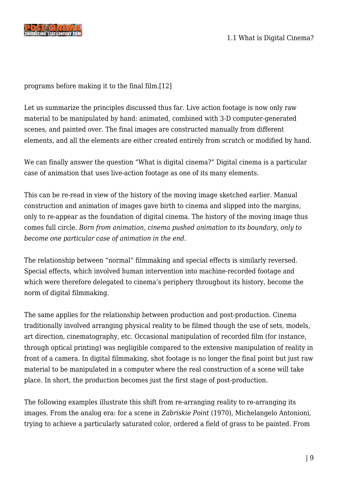

programs before making it to the final film[.\[12\]](#page-25-3)

Let us summarize the principles discussed thus far. Live action footage is now only raw material to be manipulated by hand: animated, combined with 3-D computer-generated scenes, and painted over. The final images are constructed manually from different elements, and all the elements are either created entirely from scratch or modified by hand.

We can finally answer the question "What is digital cinema?" Digital cinema is a particular case of animation that uses live-action footage as one of its many elements.

This can be re-read in view of the history of the moving image sketched earlier. Manual construction and animation of images gave birth to cinema and slipped into the margins, only to re-appear as the foundation of digital cinema. The history of the moving image thus comes full circle. *Born from animation, cinema pushed animation to its boundary, only to become one particular case of animation in the end*.

The relationship between "normal" filmmaking and special effects is similarly reversed. Special effects, which involved human intervention into machine-recorded footage and which were therefore delegated to cinema's periphery throughout its history, become the norm of digital filmmaking.

The same applies for the relationship between production and post-production. Cinema traditionally involved arranging physical reality to be filmed though the use of sets, models, art direction, cinematography, etc. Occasional manipulation of recorded film (for instance, through optical printing) was negligible compared to the extensive manipulation of reality in front of a camera. In digital filmmaking, shot footage is no longer the final point but just raw material to be manipulated in a computer where the real construction of a scene will take place. In short, the production becomes just the first stage of post-production.

The following examples illustrate this shift from re-arranging reality to re-arranging its images. From the analog era: for a scene in *Zabriskie Point* (1970), Michelangelo Antonioni, trying to achieve a particularly saturated color, ordered a field of grass to be painted. From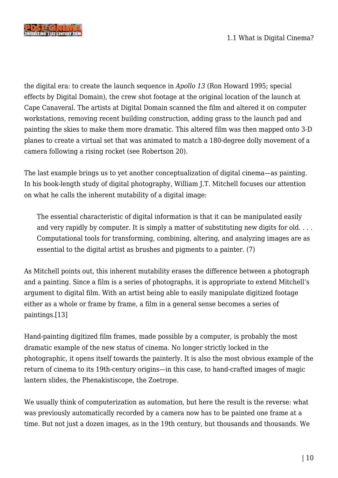

the digital era: to create the launch sequence in *Apollo 13* (Ron Howard 1995; special effects by Digital Domain), the crew shot footage at the original location of the launch at Cape Canaveral. The artists at Digital Domain scanned the film and altered it on computer workstations, removing recent building construction, adding grass to the launch pad and painting the skies to make them more dramatic. This altered film was then mapped onto 3-D planes to create a virtual set that was animated to match a 180-degree dolly movement of a camera following a rising rocket (see Robertson 20).

The last example brings us to yet another conceptualization of digital cinema—as painting. In his book-length study of digital photography, William J.T. Mitchell focuses our attention on what he calls the inherent mutability of a digital image:

The essential characteristic of digital information is that it can be manipulated easily and very rapidly by computer. It is simply a matter of substituting new digits for old.  $\dots$ Computational tools for transforming, combining, altering, and analyzing images are as essential to the digital artist as brushes and pigments to a painter. (7)

<span id="page-9-0"></span>As Mitchell points out, this inherent mutability erases the difference between a photograph and a painting. Since a film is a series of photographs, it is appropriate to extend Mitchell's argument to digital film. With an artist being able to easily manipulate digitized footage either as a whole or frame by frame, a film in a general sense becomes a series of paintings.[\[13\]](#page-25-4)

Hand-painting digitized film frames, made possible by a computer, is probably the most dramatic example of the new status of cinema. No longer strictly locked in the photographic, it opens itself towards the painterly. It is also the most obvious example of the return of cinema to its 19th-century origins—in this case, to hand-crafted images of magic lantern slides, the Phenakistiscope, the Zoetrope.

We usually think of computerization as automation, but here the result is the reverse: what was previously automatically recorded by a camera now has to be painted one frame at a time. But not just a dozen images, as in the 19th century, but thousands and thousands. We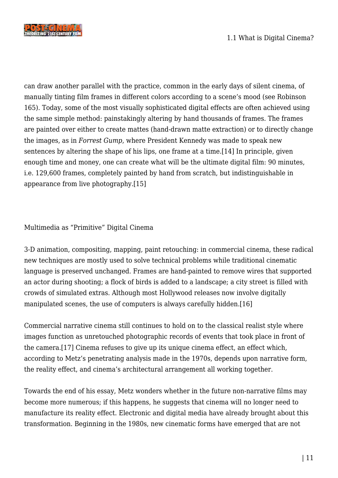

<span id="page-10-0"></span>can draw another parallel with the practice, common in the early days of silent cinema, of manually tinting film frames in different colors according to a scene's mood (see Robinson 165). Today, some of the most visually sophisticated digital effects are often achieved using the same simple method: painstakingly altering by hand thousands of frames. The frames are painted over either to create mattes (hand-drawn matte extraction) or to directly change the images, as in *Forrest Gump*, where President Kennedy was made to speak new sentences by altering the shape of his lips, one frame at a time.[\[14\]](#page-25-5) In principle, given enough time and money, one can create what will be the ultimate digital film: 90 minutes, i.e. 129,600 frames, completely painted by hand from scratch, but indistinguishable in appearance from live photography[.\[15\]](#page-25-6)

## <span id="page-10-1"></span>Multimedia as "Primitive" Digital Cinema

3-D animation, compositing, mapping, paint retouching: in commercial cinema, these radical new techniques are mostly used to solve technical problems while traditional cinematic language is preserved unchanged. Frames are hand-painted to remove wires that supported an actor during shooting; a flock of birds is added to a landscape; a city street is filled with crowds of simulated extras. Although most Hollywood releases now involve digitally manipulated scenes, the use of computers is always carefully hidden[.\[16\]](#page-27-0)

<span id="page-10-3"></span><span id="page-10-2"></span>Commercial narrative cinema still continues to hold on to the classical realist style where images function as unretouched photographic records of events that took place in front of the camera.[\[17\]](#page-27-1) Cinema refuses to give up its unique cinema effect, an effect which, according to Metz's penetrating analysis made in the 1970s, depends upon narrative form, the reality effect, and cinema's architectural arrangement all working together.

Towards the end of his essay, Metz wonders whether in the future non-narrative films may become more numerous; if this happens, he suggests that cinema will no longer need to manufacture its reality effect. Electronic and digital media have already brought about this transformation. Beginning in the 1980s, new cinematic forms have emerged that are not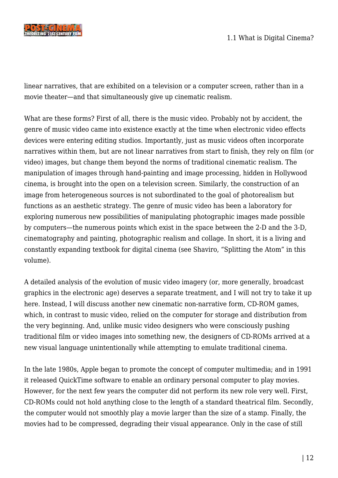

linear narratives, that are exhibited on a television or a computer screen, rather than in a movie theater—and that simultaneously give up cinematic realism.

What are these forms? First of all, there is the music video. Probably not by accident, the genre of music video came into existence exactly at the time when electronic video effects devices were entering editing studios. Importantly, just as music videos often incorporate narratives within them, but are not linear narratives from start to finish, they rely on film (or video) images, but change them beyond the norms of traditional cinematic realism. The manipulation of images through hand-painting and image processing, hidden in Hollywood cinema, is brought into the open on a television screen. Similarly, the construction of an image from heterogeneous sources is not subordinated to the goal of photorealism but functions as an aesthetic strategy. The genre of music video has been a laboratory for exploring numerous new possibilities of manipulating photographic images made possible by computers—the numerous points which exist in the space between the 2-D and the 3-D, cinematography and painting, photographic realism and collage. In short, it is a living and constantly expanding textbook for digital cinema (see Shaviro, "[Splitting the Atom](http://reframe.sussex.ac.uk/post-cinema/3-4-shaviro/)" in this volume).

A detailed analysis of the evolution of music video imagery (or, more generally, broadcast graphics in the electronic age) deserves a separate treatment, and I will not try to take it up here. Instead, I will discuss another new cinematic non-narrative form, CD-ROM games, which, in contrast to music video, relied on the computer for storage and distribution from the very beginning. And, unlike music video designers who were consciously pushing traditional film or video images into something new, the designers of CD-ROMs arrived at a new visual language unintentionally while attempting to emulate traditional cinema.

In the late 1980s, Apple began to promote the concept of computer multimedia; and in 1991 it released QuickTime software to enable an ordinary personal computer to play movies. However, for the next few years the computer did not perform its new role very well. First, CD-ROMs could not hold anything close to the length of a standard theatrical film. Secondly, the computer would not smoothly play a movie larger than the size of a stamp. Finally, the movies had to be compressed, degrading their visual appearance. Only in the case of still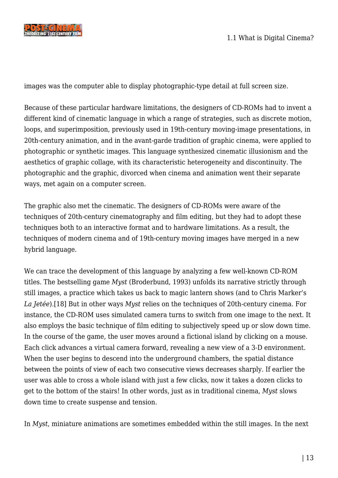

images was the computer able to display photographic-type detail at full screen size.

Because of these particular hardware limitations, the designers of CD-ROMs had to invent a different kind of cinematic language in which a range of strategies, such as discrete motion, loops, and superimposition, previously used in 19th-century moving-image presentations, in 20th-century animation, and in the avant-garde tradition of graphic cinema, were applied to photographic or synthetic images. This language synthesized cinematic illusionism and the aesthetics of graphic collage, with its characteristic heterogeneity and discontinuity. The photographic and the graphic, divorced when cinema and animation went their separate ways, met again on a computer screen.

The graphic also met the cinematic. The designers of CD-ROMs were aware of the techniques of 20th-century cinematography and film editing, but they had to adopt these techniques both to an interactive format and to hardware limitations. As a result, the techniques of modern cinema and of 19th-century moving images have merged in a new hybrid language.

<span id="page-12-0"></span>We can trace the development of this language by analyzing a few well-known CD-ROM titles. The bestselling game *Myst* (Broderbund, 1993) unfolds its narrative strictly through still images, a practice which takes us back to magic lantern shows (and to Chris Marker's *La Jetée*)[.\[18\]](#page-27-2) But in other ways *Myst* relies on the techniques of 20th-century cinema. For instance, the CD-ROM uses simulated camera turns to switch from one image to the next. It also employs the basic technique of film editing to subjectively speed up or slow down time. In the course of the game, the user moves around a fictional island by clicking on a mouse. Each click advances a virtual camera forward, revealing a new view of a 3-D environment. When the user begins to descend into the underground chambers, the spatial distance between the points of view of each two consecutive views decreases sharply. If earlier the user was able to cross a whole island with just a few clicks, now it takes a dozen clicks to get to the bottom of the stairs! In other words, just as in traditional cinema, *Myst* slows down time to create suspense and tension.

In *Myst*, miniature animations are sometimes embedded within the still images. In the next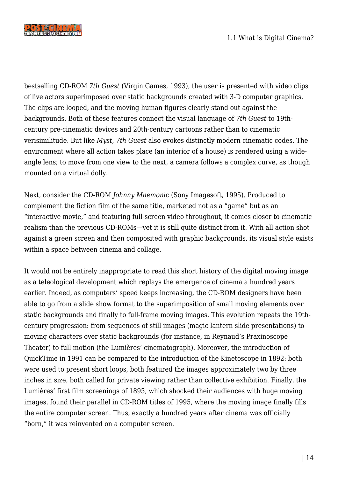

bestselling CD-ROM *7th Guest* (Virgin Games, 1993), the user is presented with video clips of live actors superimposed over static backgrounds created with 3-D computer graphics. The clips are looped, and the moving human figures clearly stand out against the backgrounds. Both of these features connect the visual language of *7th Guest* to 19thcentury pre-cinematic devices and 20th-century cartoons rather than to cinematic verisimilitude. But like *Myst*, *7th Guest* also evokes distinctly modern cinematic codes. The environment where all action takes place (an interior of a house) is rendered using a wideangle lens; to move from one view to the next, a camera follows a complex curve, as though mounted on a virtual dolly.

Next, consider the CD-ROM *Johnny Mnemonic* (Sony Imagesoft, 1995). Produced to complement the fiction film of the same title, marketed not as a "game" but as an "interactive movie," and featuring full-screen video throughout, it comes closer to cinematic realism than the previous CD-ROMs—yet it is still quite distinct from it. With all action shot against a green screen and then composited with graphic backgrounds, its visual style exists within a space between cinema and collage.

It would not be entirely inappropriate to read this short history of the digital moving image as a teleological development which replays the emergence of cinema a hundred years earlier. Indeed, as computers' speed keeps increasing, the CD-ROM designers have been able to go from a slide show format to the superimposition of small moving elements over static backgrounds and finally to full-frame moving images. This evolution repeats the 19thcentury progression: from sequences of still images (magic lantern slide presentations) to moving characters over static backgrounds (for instance, in Reynaud's Praxinoscope Theater) to full motion (the Lumières' cinematograph). Moreover, the introduction of QuickTime in 1991 can be compared to the introduction of the Kinetoscope in 1892: both were used to present short loops, both featured the images approximately two by three inches in size, both called for private viewing rather than collective exhibition. Finally, the Lumières' first film screenings of 1895, which shocked their audiences with huge moving images, found their parallel in CD-ROM titles of 1995, where the moving image finally fills the entire computer screen. Thus, exactly a hundred years after cinema was officially "born," it was reinvented on a computer screen.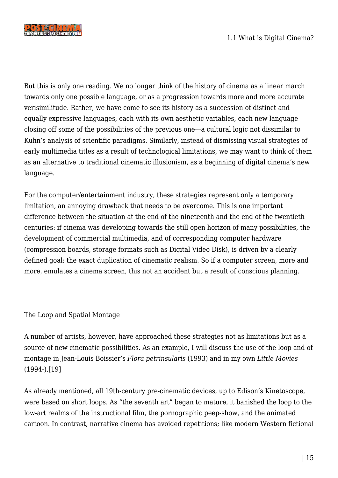



But this is only one reading. We no longer think of the history of cinema as a linear march towards only one possible language, or as a progression towards more and more accurate verisimilitude. Rather, we have come to see its history as a succession of distinct and equally expressive languages, each with its own aesthetic variables, each new language closing off some of the possibilities of the previous one—a cultural logic not dissimilar to Kuhn's analysis of scientific paradigms. Similarly, instead of dismissing visual strategies of early multimedia titles as a result of technological limitations, we may want to think of them as an alternative to traditional cinematic illusionism, as a beginning of digital cinema's new language.

For the computer/entertainment industry, these strategies represent only a temporary limitation, an annoying drawback that needs to be overcome. This is one important difference between the situation at the end of the nineteenth and the end of the twentieth centuries: if cinema was developing towards the still open horizon of many possibilities, the development of commercial multimedia, and of corresponding computer hardware (compression boards, storage formats such as Digital Video Disk), is driven by a clearly defined goal: the exact duplication of cinematic realism. So if a computer screen, more and more, emulates a cinema screen, this not an accident but a result of conscious planning.

The Loop and Spatial Montage

A number of artists, however, have approached these strategies not as limitations but as a source of new cinematic possibilities. As an example, I will discuss the use of the loop and of montage in Jean-Louis Boissier's *Flora petrinsularis* (1993) and in my own *[Little Movies](http://manovich.net/index.php/exhibitions/little-movies-rhizome)* (1994-)[.\[19\]](#page-27-3)

<span id="page-14-0"></span>As already mentioned, all 19th-century pre-cinematic devices, up to Edison's Kinetoscope, were based on short loops. As "the seventh art" began to mature, it banished the loop to the low-art realms of the instructional film, the pornographic peep-show, and the animated cartoon. In contrast, narrative cinema has avoided repetitions; like modern Western fictional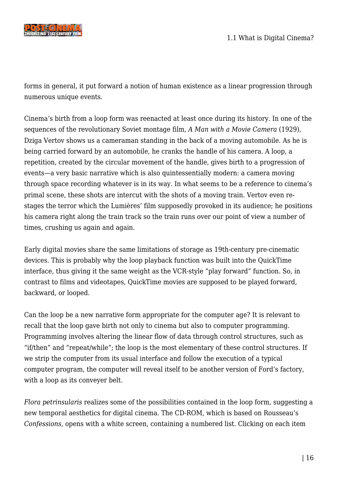

forms in general, it put forward a notion of human existence as a linear progression through numerous unique events.

Cinema's birth from a loop form was reenacted at least once during its history. In one of the sequences of the revolutionary Soviet montage film, *A Man with a Movie Camera* (1929), Dziga Vertov shows us a cameraman standing in the back of a moving automobile. As he is being carried forward by an automobile, he cranks the handle of his camera. A loop, a repetition, created by the circular movement of the handle, gives birth to a progression of events—a very basic narrative which is also quintessentially modern: a camera moving through space recording whatever is in its way. In what seems to be a reference to cinema's primal scene, these shots are intercut with the shots of a moving train. Vertov even restages the terror which the Lumières' film supposedly provoked in its audience; he positions his camera right along the train track so the train runs over our point of view a number of times, crushing us again and again.

Early digital movies share the same limitations of storage as 19th-century pre-cinematic devices. This is probably why the loop playback function was built into the QuickTime interface, thus giving it the same weight as the VCR-style "play forward" function. So, in contrast to films and videotapes, QuickTime movies are supposed to be played forward, backward, or looped.

Can the loop be a new narrative form appropriate for the computer age? It is relevant to recall that the loop gave birth not only to cinema but also to computer programming. Programming involves altering the linear flow of data through control structures, such as "if/then" and "repeat/while"; the loop is the most elementary of these control structures. If we strip the computer from its usual interface and follow the execution of a typical computer program, the computer will reveal itself to be another version of Ford's factory, with a loop as its conveyer belt.

*Flora petrinsularis* realizes some of the possibilities contained in the loop form, suggesting a new temporal aesthetics for digital cinema. The CD-ROM, which is based on Rousseau's *Confessions*, opens with a white screen, containing a numbered list. Clicking on each item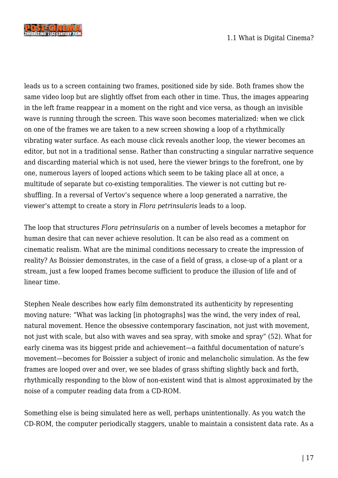

leads us to a screen containing two frames, positioned side by side. Both frames show the same video loop but are slightly offset from each other in time. Thus, the images appearing in the left frame reappear in a moment on the right and vice versa, as though an invisible wave is running through the screen. This wave soon becomes materialized: when we click on one of the frames we are taken to a new screen showing a loop of a rhythmically vibrating water surface. As each mouse click reveals another loop, the viewer becomes an editor, but not in a traditional sense. Rather than constructing a singular narrative sequence and discarding material which is not used, here the viewer brings to the forefront, one by one, numerous layers of looped actions which seem to be taking place all at once, a multitude of separate but co-existing temporalities. The viewer is not cutting but reshuffling. In a reversal of Vertov's sequence where a loop generated a narrative, the viewer's attempt to create a story in *Flora petrinsularis* leads to a loop.

The loop that structures *Flora petrinsularis* on a number of levels becomes a metaphor for human desire that can never achieve resolution. It can be also read as a comment on cinematic realism. What are the minimal conditions necessary to create the impression of reality? As Boissier demonstrates, in the case of a field of grass, a close-up of a plant or a stream, just a few looped frames become sufficient to produce the illusion of life and of linear time.

Stephen Neale describes how early film demonstrated its authenticity by representing moving nature: "What was lacking [in photographs] was the wind, the very index of real, natural movement. Hence the obsessive contemporary fascination, not just with movement, not just with scale, but also with waves and sea spray, with smoke and spray" (52). What for early cinema was its biggest pride and achievement—a faithful documentation of nature's movement—becomes for Boissier a subject of ironic and melancholic simulation. As the few frames are looped over and over, we see blades of grass shifting slightly back and forth, rhythmically responding to the blow of non-existent wind that is almost approximated by the noise of a computer reading data from a CD-ROM.

Something else is being simulated here as well, perhaps unintentionally. As you watch the CD-ROM, the computer periodically staggers, unable to maintain a consistent data rate. As a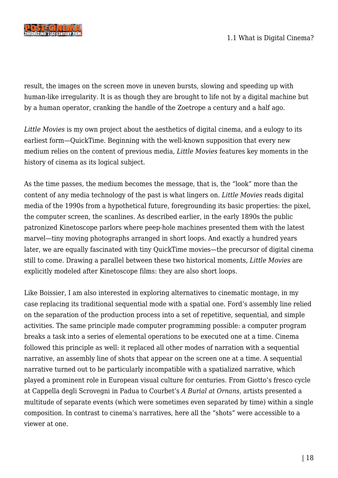

result, the images on the screen move in uneven bursts, slowing and speeding up with human-like irregularity. It is as though they are brought to life not by a digital machine but by a human operator, cranking the handle of the Zoetrope a century and a half ago.

*Little Movies* is my own project about the aesthetics of digital cinema, and a eulogy to its earliest form—QuickTime. Beginning with the well-known supposition that every new medium relies on the content of previous media, *Little Movies* features key moments in the history of cinema as its logical subject.

As the time passes, the medium becomes the message, that is, the "look" more than the content of any media technology of the past is what lingers on. *Little Movies* reads digital media of the 1990s from a hypothetical future, foregrounding its basic properties: the pixel, the computer screen, the scanlines. As described earlier, in the early 1890s the public patronized Kinetoscope parlors where peep-hole machines presented them with the latest marvel—tiny moving photographs arranged in short loops. And exactly a hundred years later, we are equally fascinated with tiny QuickTime movies—the precursor of digital cinema still to come. Drawing a parallel between these two historical moments, *Little Movies* are explicitly modeled after Kinetoscope films: they are also short loops.

Like Boissier, I am also interested in exploring alternatives to cinematic montage, in my case replacing its traditional sequential mode with a spatial one. Ford's assembly line relied on the separation of the production process into a set of repetitive, sequential, and simple activities. The same principle made computer programming possible: a computer program breaks a task into a series of elemental operations to be executed one at a time. Cinema followed this principle as well: it replaced all other modes of narration with a sequential narrative, an assembly line of shots that appear on the screen one at a time. A sequential narrative turned out to be particularly incompatible with a spatialized narrative, which played a prominent role in European visual culture for centuries. From Giotto's fresco cycle at Cappella degli Scrovegni in Padua to Courbet's *A Burial at Ornans*, artists presented a multitude of separate events (which were sometimes even separated by time) within a single composition. In contrast to cinema's narratives, here all the "shots" were accessible to a viewer at one.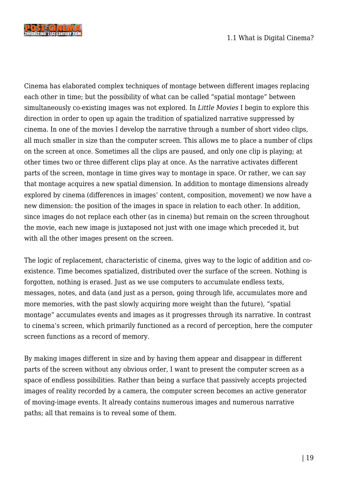

Cinema has elaborated complex techniques of montage between different images replacing each other in time; but the possibility of what can be called "spatial montage" between simultaneously co-existing images was not explored. In *Little Movies* I begin to explore this direction in order to open up again the tradition of spatialized narrative suppressed by cinema. In one of the movies I develop the narrative through a number of short video clips, all much smaller in size than the computer screen. This allows me to place a number of clips on the screen at once. Sometimes all the clips are paused, and only one clip is playing; at other times two or three different clips play at once. As the narrative activates different parts of the screen, montage in time gives way to montage in space. Or rather, we can say that montage acquires a new spatial dimension. In addition to montage dimensions already explored by cinema (differences in images' content, composition, movement) we now have a new dimension: the position of the images in space in relation to each other. In addition, since images do not replace each other (as in cinema) but remain on the screen throughout the movie, each new image is juxtaposed not just with one image which preceded it, but with all the other images present on the screen.

The logic of replacement, characteristic of cinema, gives way to the logic of addition and coexistence. Time becomes spatialized, distributed over the surface of the screen. Nothing is forgotten, nothing is erased. Just as we use computers to accumulate endless texts, messages, notes, and data (and just as a person, going through life, accumulates more and more memories, with the past slowly acquiring more weight than the future), "spatial montage" accumulates events and images as it progresses through its narrative. In contrast to cinema's screen, which primarily functioned as a record of perception, here the computer screen functions as a record of memory.

By making images different in size and by having them appear and disappear in different parts of the screen without any obvious order, I want to present the computer screen as a space of endless possibilities. Rather than being a surface that passively accepts projected images of reality recorded by a camera, the computer screen becomes an active generator of moving-image events. It already contains numerous images and numerous narrative paths; all that remains is to reveal some of them.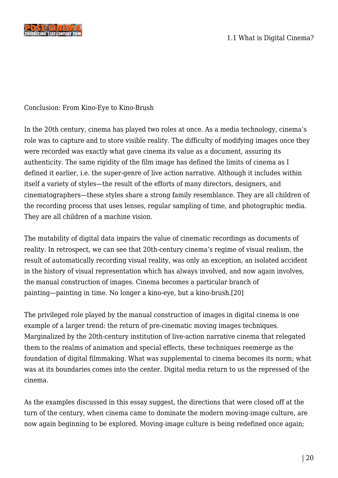

Conclusion: From Kino-Eye to Kino-Brush

In the 20th century, cinema has played two roles at once. As a media technology, cinema's role was to capture and to store visible reality. The difficulty of modifying images once they were recorded was exactly what gave cinema its value as a document, assuring its authenticity. The same rigidity of the film image has defined the limits of cinema as I defined it earlier, i.e. the super-genre of live action narrative. Although it includes within itself a variety of styles—the result of the efforts of many directors, designers, and cinematographers—these styles share a strong family resemblance. They are all children of the recording process that uses lenses, regular sampling of time, and photographic media. They are all children of a machine vision.

The mutability of digital data impairs the value of cinematic recordings as documents of reality. In retrospect, we can see that 20th-century cinema's regime of visual realism, the result of automatically recording visual reality, was only an exception, an isolated accident in the history of visual representation which has always involved, and now again involves, the manual construction of images. Cinema becomes a particular branch of painting—painting in time. No longer a kino-eye, but a kino-brush[.\[20\]](#page-27-4)

<span id="page-19-0"></span>The privileged role played by the manual construction of images in digital cinema is one example of a larger trend: the return of pre-cinematic moving images techniques. Marginalized by the 20th-century institution of live-action narrative cinema that relegated them to the realms of animation and special effects, these techniques reemerge as the foundation of digital filmmaking. What was supplemental to cinema becomes its norm; what was at its boundaries comes into the center. Digital media return to us the repressed of the cinema.

As the examples discussed in this essay suggest, the directions that were closed off at the turn of the century, when cinema came to dominate the modern moving-image culture, are now again beginning to be explored. Moving-image culture is being redefined once again;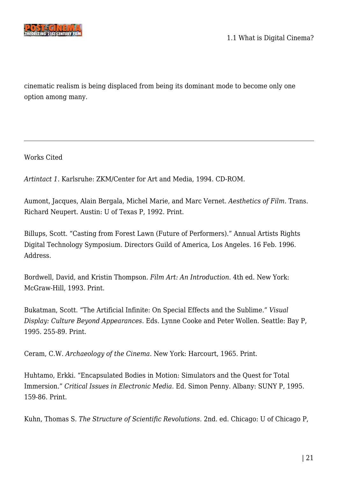

cinematic realism is being displaced from being its dominant mode to become only one option among many.

Works Cited

*Artintact 1*. Karlsruhe: ZKM/Center for Art and Media, 1994. CD-ROM.

Aumont, Jacques, Alain Bergala, Michel Marie, and Marc Vernet. *Aesthetics of Film*. Trans. Richard Neupert. Austin: U of Texas P, 1992. Print.

Billups, Scott. "Casting from Forest Lawn (Future of Performers)." Annual Artists Rights Digital Technology Symposium. Directors Guild of America, Los Angeles. 16 Feb. 1996. Address.

Bordwell, David, and Kristin Thompson. *Film Art: An Introduction*. 4th ed. New York: McGraw-Hill, 1993. Print.

Bukatman, Scott. "The Artificial Infinite: On Special Effects and the Sublime." *Visual Display: Culture Beyond Appearances*. Eds. Lynne Cooke and Peter Wollen. Seattle: Bay P, 1995. 255-89. Print.

Ceram, C.W. *Archaeology of the Cinema*. New York: Harcourt, 1965. Print.

Huhtamo, Erkki. "Encapsulated Bodies in Motion: Simulators and the Quest for Total Immersion." *Critical Issues in Electronic Media*. Ed. Simon Penny. Albany: SUNY P, 1995. 159-86. Print.

Kuhn, Thomas S. *The Structure of Scientific Revolutions*. 2nd. ed. Chicago: U of Chicago P,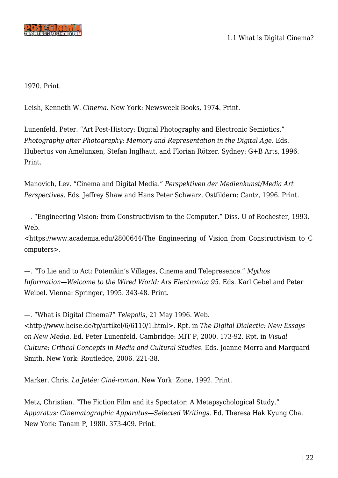

1970. Print.

Leish, Kenneth W. *Cinema*. New York: Newsweek Books, 1974. Print.

Lunenfeld, Peter. "Art Post-History: Digital Photography and Electronic Semiotics." *Photography after Photography: Memory and Representation in the Digital Age*. Eds. Hubertus von Amelunxen, Stefan Inglhaut, and Florian Rötzer. Sydney: G+B Arts, 1996. Print.

Manovich, Lev. "Cinema and Digital Media." *Perspektiven der Medienkunst/Media Art Perspectives*. Eds. Jeffrey Shaw and Hans Peter Schwarz. Ostfildern: Cantz, 1996. Print.

—. "Engineering Vision: from Constructivism to the Computer." Diss. U of Rochester, 1993. Web.

<https://www.academia.edu/2800644/The\_Engineering\_of\_Vision\_from\_Constructivism\_to\_C omputers>.

—. "To Lie and to Act: Potemkin's Villages, Cinema and Telepresence." *Mythos Information—Welcome to the Wired World: Ars Electronica 95*. Eds. Karl Gebel and Peter Weibel. Vienna: Springer, 1995. 343-48. Print.

—. "What is Digital Cinema?" *Telepolis*, 21 May 1996. Web.

<http://www.heise.de/tp/artikel/6/6110/1.html>. Rpt. in *The Digital Dialectic: New Essays on New Media*. Ed. Peter Lunenfeld. Cambridge: MIT P, 2000. 173-92. Rpt. in *Visual Culture: Critical Concepts in Media and Cultural Studies*. Eds. Joanne Morra and Marquard Smith. New York: Routledge, 2006. 221-38.

Marker, Chris. *La Jetée: Ciné-roman*. New York: Zone, 1992. Print.

Metz, Christian. "The Fiction Film and its Spectator: A Metapsychological Study." *Apparatus: Cinematographic Apparatus—Selected Writings*. Ed. Theresa Hak Kyung Cha. New York: Tanam P, 1980. 373-409. Print.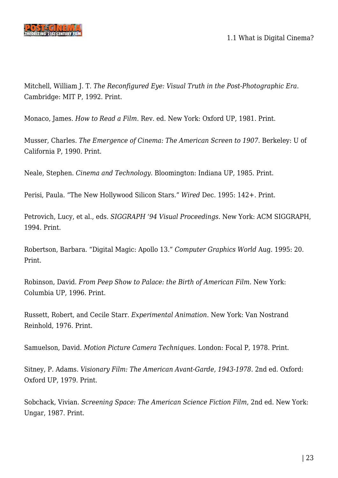

Mitchell, William J. T. *The Reconfigured Eye: Visual Truth in the Post-Photographic Era*. Cambridge: MIT P, 1992. Print.

Monaco, James. *How to Read a Film*. Rev. ed. New York: Oxford UP, 1981. Print.

Musser, Charles. *The Emergence of Cinema: The American Screen to 1907*. Berkeley: U of California P, 1990. Print.

Neale, Stephen. *Cinema and Technology*. Bloomington: Indiana UP, 1985. Print.

Perisi, Paula. "The New Hollywood Silicon Stars." *Wired* Dec. 1995: 142+. Print.

Petrovich, Lucy, et al., eds. *SIGGRAPH '94 Visual Proceedings*. New York: ACM SIGGRAPH, 1994. Print.

Robertson, Barbara. "Digital Magic: Apollo 13." *Computer Graphics World* Aug. 1995: 20. Print.

Robinson, David. *From Peep Show to Palace: the Birth of American Film*. New York: Columbia UP, 1996. Print.

Russett, Robert, and Cecile Starr. *Experimental Animation*. New York: Van Nostrand Reinhold, 1976. Print.

Samuelson, David. *Motion Picture Camera Techniques*. London: Focal P, 1978. Print.

Sitney, P. Adams. *Visionary Film: The American Avant-Garde, 1943-1978*. 2nd ed. Oxford: Oxford UP, 1979. Print.

Sobchack, Vivian. *Screening Space: The American Science Fiction Film*, 2nd ed. New York: Ungar, 1987. Print.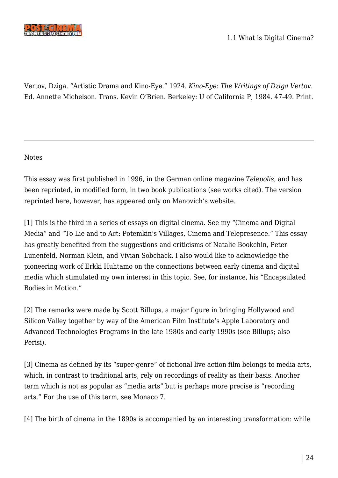

Vertov, Dziga. "Artistic Drama and Kino-Eye." 1924. *Kino-Eye: The Writings of Dziga Vertov*. Ed. Annette Michelson. Trans. Kevin O'Brien. Berkeley: U of California P, 1984. 47-49. Print.

**Notes** 

This essay was first published in 1996, in the German online magazine *Telepolis*, and has been reprinted, in modified form, in two book publications (see works cited). The version reprinted here, however, has appeared only on Manovich's website.

<span id="page-23-0"></span>[\[1\]](#page-0-0) This is the third in a series of essays on digital cinema. See my "Cinema and Digital Media" and "To Lie and to Act: Potemkin's Villages, Cinema and Telepresence." This essay has greatly benefited from the suggestions and criticisms of Natalie Bookchin, Peter Lunenfeld, Norman Klein, and Vivian Sobchack. I also would like to acknowledge the pioneering work of Erkki Huhtamo on the connections between early cinema and digital media which stimulated my own interest in this topic. See, for instance, his "Encapsulated Bodies in Motion."

<span id="page-23-1"></span>[\[2\]](#page-0-1) The remarks were made by Scott Billups, a major figure in bringing Hollywood and Silicon Valley together by way of the American Film Institute's Apple Laboratory and Advanced Technologies Programs in the late 1980s and early 1990s (see Billups; also Perisi).

<span id="page-23-2"></span>[\[3\]](#page-1-0) Cinema as defined by its "super-genre" of fictional live action film belongs to media arts, which, in contrast to traditional arts, rely on recordings of reality as their basis. Another term which is not as popular as "media arts" but is perhaps more precise is "recording arts." For the use of this term, see Monaco 7.

<span id="page-23-3"></span>[\[4\]](#page-3-0) The birth of cinema in the 1890s is accompanied by an interesting transformation: while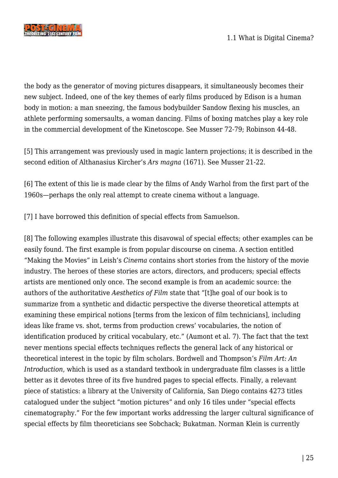the body as the generator of moving pictures disappears, it simultaneously becomes their new subject. Indeed, one of the key themes of early films produced by Edison is a human body in motion: a man sneezing, the famous bodybuilder Sandow flexing his muscles, an athlete performing somersaults, a woman dancing. Films of boxing matches play a key role in the commercial development of the Kinetoscope. See Musser 72-79; Robinson 44-48.

<span id="page-24-0"></span>[\[5\]](#page-4-0) This arrangement was previously used in magic lantern projections; it is described in the second edition of Althanasius Kircher's *Ars magna* (1671). See Musser 21-22.

<span id="page-24-1"></span>[\[6\]](#page-5-0) The extent of this lie is made clear by the films of Andy Warhol from the first part of the 1960s—perhaps the only real attempt to create cinema without a language.

<span id="page-24-2"></span>[\[7\]](#page-5-1) I have borrowed this definition of special effects from Samuelson.

<span id="page-24-3"></span>[\[8\]](#page-5-2) The following examples illustrate this disavowal of special effects; other examples can be easily found. The first example is from popular discourse on cinema. A section entitled "Making the Movies" in Leish's *Cinema* contains short stories from the history of the movie industry. The heroes of these stories are actors, directors, and producers; special effects artists are mentioned only once. The second example is from an academic source: the authors of the authoritative *Aesthetics of Film* state that "[t]he goal of our book is to summarize from a synthetic and didactic perspective the diverse theoretical attempts at examining these empirical notions [terms from the lexicon of film technicians], including ideas like frame vs. shot, terms from production crews' vocabularies, the notion of identification produced by critical vocabulary, etc." (Aumont et al. 7). The fact that the text never mentions special effects techniques reflects the general lack of any historical or theoretical interest in the topic by film scholars. Bordwell and Thompson's *Film Art: An Introduction*, which is used as a standard textbook in undergraduate film classes is a little better as it devotes three of its five hundred pages to special effects. Finally, a relevant piece of statistics: a library at the University of California, San Diego contains 4273 titles catalogued under the subject "motion pictures" and only 16 tiles under "special effects cinematography." For the few important works addressing the larger cultural significance of special effects by film theoreticians see Sobchack; Bukatman. Norman Klein is currently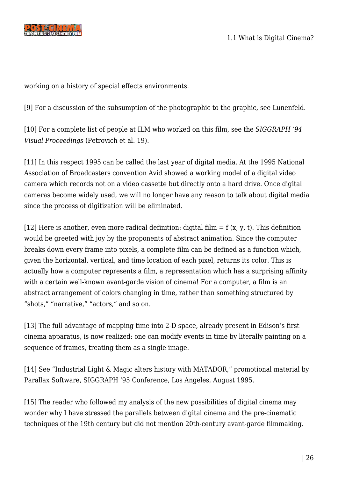

working on a history of special effects environments.

<span id="page-25-0"></span>[\[9\]](#page-6-0) For a discussion of the subsumption of the photographic to the graphic, see Lunenfeld.

<span id="page-25-1"></span>[\[10\]](#page-7-0) For a complete list of people at ILM who worked on this film, see the *SIGGRAPH '94 Visual Proceedings* (Petrovich et al. 19).

<span id="page-25-2"></span>[\[11\]](#page-7-1) In this respect 1995 can be called the last year of digital media. At the 1995 National Association of Broadcasters convention Avid showed a working model of a digital video camera which records not on a video cassette but directly onto a hard drive. Once digital cameras become widely used, we will no longer have any reason to talk about digital media since the process of digitization will be eliminated.

<span id="page-25-3"></span>[\[12\]](#page-7-2) Here is another, even more radical definition: digital film  $= f(x, y, t)$ . This definition would be greeted with joy by the proponents of abstract animation. Since the computer breaks down every frame into pixels, a complete film can be defined as a function which, given the horizontal, vertical, and time location of each pixel, returns its color. This is actually how a computer represents a film, a representation which has a surprising affinity with a certain well-known avant-garde vision of cinema! For a computer, a film is an abstract arrangement of colors changing in time, rather than something structured by "shots," "narrative," "actors," and so on.

<span id="page-25-4"></span>[\[13\]](#page-9-0) The full advantage of mapping time into 2-D space, already present in Edison's first cinema apparatus, is now realized: one can modify events in time by literally painting on a sequence of frames, treating them as a single image.

<span id="page-25-5"></span>[\[14\]](#page-10-0) See "Industrial Light & Magic alters history with MATADOR," promotional material by Parallax Software, SIGGRAPH '95 Conference, Los Angeles, August 1995.

<span id="page-25-6"></span>[\[15\]](#page-10-1) The reader who followed my analysis of the new possibilities of digital cinema may wonder why I have stressed the parallels between digital cinema and the pre-cinematic techniques of the 19th century but did not mention 20th-century avant-garde filmmaking.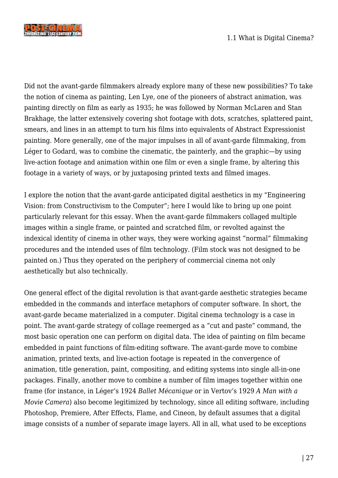

Did not the avant-garde filmmakers already explore many of these new possibilities? To take the notion of cinema as painting, Len Lye, one of the pioneers of abstract animation, was painting directly on film as early as 1935; he was followed by Norman McLaren and Stan Brakhage, the latter extensively covering shot footage with dots, scratches, splattered paint, smears, and lines in an attempt to turn his films into equivalents of Abstract Expressionist painting. More generally, one of the major impulses in all of avant-garde filmmaking, from Léger to Godard, was to combine the cinematic, the painterly, and the graphic—by using live-action footage and animation within one film or even a single frame, by altering this footage in a variety of ways, or by juxtaposing printed texts and filmed images.

I explore the notion that the avant-garde anticipated digital aesthetics in my "Engineering Vision: from Constructivism to the Computer"; here I would like to bring up one point particularly relevant for this essay. When the avant-garde filmmakers collaged multiple images within a single frame, or painted and scratched film, or revolted against the indexical identity of cinema in other ways, they were working against "normal" filmmaking procedures and the intended uses of film technology. (Film stock was not designed to be painted on.) Thus they operated on the periphery of commercial cinema not only aesthetically but also technically.

One general effect of the digital revolution is that avant-garde aesthetic strategies became embedded in the commands and interface metaphors of computer software. In short, the avant-garde became materialized in a computer. Digital cinema technology is a case in point. The avant-garde strategy of collage reemerged as a "cut and paste" command, the most basic operation one can perform on digital data. The idea of painting on film became embedded in paint functions of film-editing software. The avant-garde move to combine animation, printed texts, and live-action footage is repeated in the convergence of animation, title generation, paint, compositing, and editing systems into single all-in-one packages. Finally, another move to combine a number of film images together within one frame (for instance, in Léger's 1924 *Ballet Mécanique* or in Vertov's 1929 *A Man with a Movie Camera*) also become legitimized by technology, since all editing software, including Photoshop, Premiere, After Effects, Flame, and Cineon, by default assumes that a digital image consists of a number of separate image layers. All in all, what used to be exceptions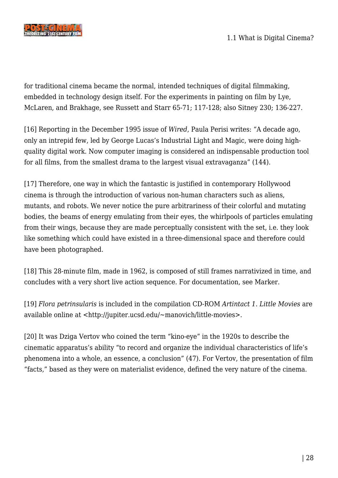

for traditional cinema became the normal, intended techniques of digital filmmaking, embedded in technology design itself. For the experiments in painting on film by Lye, McLaren, and Brakhage, see Russett and Starr 65-71; 117-128; also Sitney 230; 136-227.

<span id="page-27-0"></span>[\[16\]](#page-10-2) Reporting in the December 1995 issue of *Wired*, Paula Perisi writes: "A decade ago, only an intrepid few, led by George Lucas's Industrial Light and Magic, were doing highquality digital work. Now computer imaging is considered an indispensable production tool for all films, from the smallest drama to the largest visual extravaganza" (144).

<span id="page-27-1"></span>[\[17\]](#page-10-3) Therefore, one way in which the fantastic is justified in contemporary Hollywood cinema is through the introduction of various non-human characters such as aliens, mutants, and robots. We never notice the pure arbitrariness of their colorful and mutating bodies, the beams of energy emulating from their eyes, the whirlpools of particles emulating from their wings, because they are made perceptually consistent with the set, i.e. they look like something which could have existed in a three-dimensional space and therefore could have been photographed.

<span id="page-27-2"></span>[\[18\]](#page-12-0) This 28-minute film, made in 1962, is composed of still frames narrativized in time, and concludes with a very short live action sequence. For documentation, see Marker.

<span id="page-27-3"></span>[\[19\]](#page-14-0) *Flora petrinsularis* is included in the compilation CD-ROM *Artintact 1*. *Little Movies* are available online at [<http://jupiter.ucsd.edu/~manovich/little-movies](http://jupiter.ucsd.edu/~manovich/little-movies)>.

<span id="page-27-4"></span>[\[20\]](#page-19-0) It was Dziga Vertov who coined the term "kino-eye" in the 1920s to describe the cinematic apparatus's ability "to record and organize the individual characteristics of life's phenomena into a whole, an essence, a conclusion" (47). For Vertov, the presentation of film "facts," based as they were on materialist evidence, defined the very nature of the cinema.